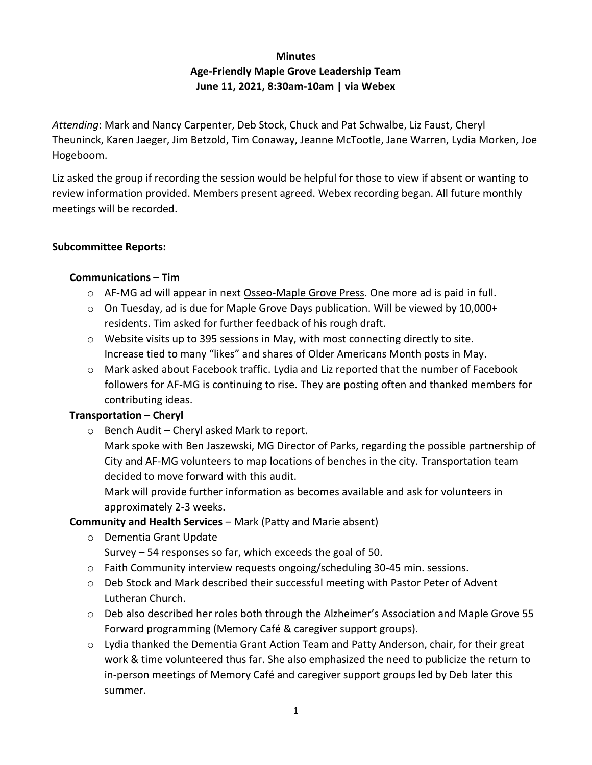# **Minutes Age-Friendly Maple Grove Leadership Team June 11, 2021, 8:30am-10am | via Webex**

*Attending*: Mark and Nancy Carpenter, Deb Stock, Chuck and Pat Schwalbe, Liz Faust, Cheryl Theuninck, Karen Jaeger, Jim Betzold, Tim Conaway, Jeanne McTootle, Jane Warren, Lydia Morken, Joe Hogeboom.

Liz asked the group if recording the session would be helpful for those to view if absent or wanting to review information provided. Members present agreed. Webex recording began. All future monthly meetings will be recorded.

### **Subcommittee Reports:**

### **Communications** – **Tim**

- o AF-MG ad will appear in next Osseo-Maple Grove Press. One more ad is paid in full.
- $\circ$  On Tuesday, ad is due for Maple Grove Days publication. Will be viewed by 10,000+ residents. Tim asked for further feedback of his rough draft.
- $\circ$  Website visits up to 395 sessions in May, with most connecting directly to site. Increase tied to many "likes" and shares of Older Americans Month posts in May.
- o Mark asked about Facebook traffic. Lydia and Liz reported that the number of Facebook followers for AF-MG is continuing to rise. They are posting often and thanked members for contributing ideas.

## **Transportation** – **Cheryl**

o Bench Audit – Cheryl asked Mark to report.

Mark spoke with Ben Jaszewski, MG Director of Parks, regarding the possible partnership of City and AF-MG volunteers to map locations of benches in the city. Transportation team decided to move forward with this audit.

Mark will provide further information as becomes available and ask for volunteers in approximately 2-3 weeks.

## **Community and Health Services** – Mark (Patty and Marie absent)

- o Dementia Grant Update Survey – 54 responses so far, which exceeds the goal of 50.
- o Faith Community interview requests ongoing/scheduling 30-45 min. sessions.
- o Deb Stock and Mark described their successful meeting with Pastor Peter of Advent Lutheran Church.
- $\circ$  Deb also described her roles both through the Alzheimer's Association and Maple Grove 55 Forward programming (Memory Café & caregiver support groups).
- $\circ$  Lydia thanked the Dementia Grant Action Team and Patty Anderson, chair, for their great work & time volunteered thus far. She also emphasized the need to publicize the return to in-person meetings of Memory Café and caregiver support groups led by Deb later this summer.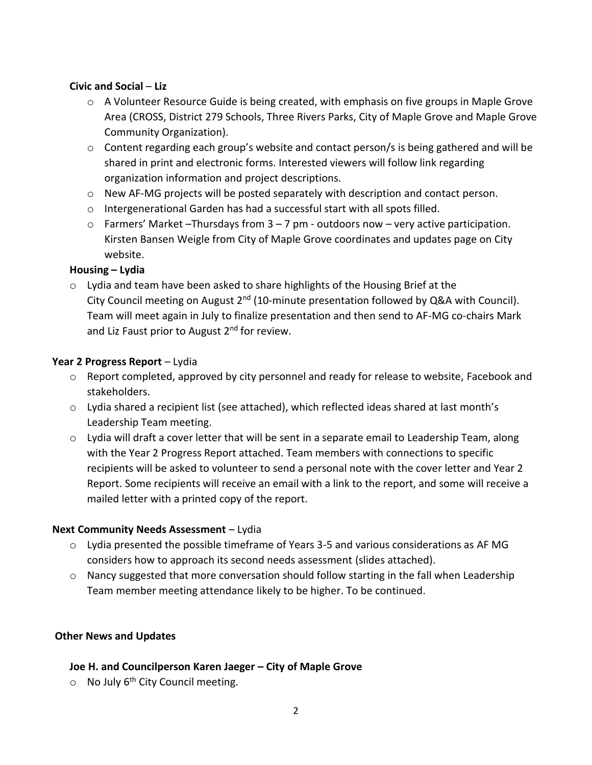### **Civic and Social** – **Liz**

- $\circ$  A Volunteer Resource Guide is being created, with emphasis on five groups in Maple Grove Area (CROSS, District 279 Schools, Three Rivers Parks, City of Maple Grove and Maple Grove Community Organization).
- $\circ$  Content regarding each group's website and contact person/s is being gathered and will be shared in print and electronic forms. Interested viewers will follow link regarding organization information and project descriptions.
- $\circ$  New AF-MG projects will be posted separately with description and contact person.
- o Intergenerational Garden has had a successful start with all spots filled.
- $\circ$  Farmers' Market –Thursdays from  $3 7$  pm outdoors now very active participation. Kirsten Bansen Weigle from City of Maple Grove coordinates and updates page on City website.

#### **Housing – Lydia**

o Lydia and team have been asked to share highlights of the Housing Brief at the City Council meeting on August  $2^{nd}$  (10-minute presentation followed by Q&A with Council). Team will meet again in July to finalize presentation and then send to AF-MG co-chairs Mark and Liz Faust prior to August 2<sup>nd</sup> for review.

### **Year 2 Progress Report** – Lydia

- o Report completed, approved by city personnel and ready for release to website, Facebook and stakeholders.
- $\circ$  Lydia shared a recipient list (see attached), which reflected ideas shared at last month's Leadership Team meeting.
- $\circ$  Lydia will draft a cover letter that will be sent in a separate email to Leadership Team, along with the Year 2 Progress Report attached. Team members with connections to specific recipients will be asked to volunteer to send a personal note with the cover letter and Year 2 Report. Some recipients will receive an email with a link to the report, and some will receive a mailed letter with a printed copy of the report.

#### **Next Community Needs Assessment** – Lydia

- $\circ$  Lydia presented the possible timeframe of Years 3-5 and various considerations as AF MG considers how to approach its second needs assessment (slides attached).
- $\circ$  Nancy suggested that more conversation should follow starting in the fall when Leadership Team member meeting attendance likely to be higher. To be continued.

#### **Other News and Updates**

#### **Joe H. and Councilperson Karen Jaeger – City of Maple Grove**

o No July 6<sup>th</sup> City Council meeting.